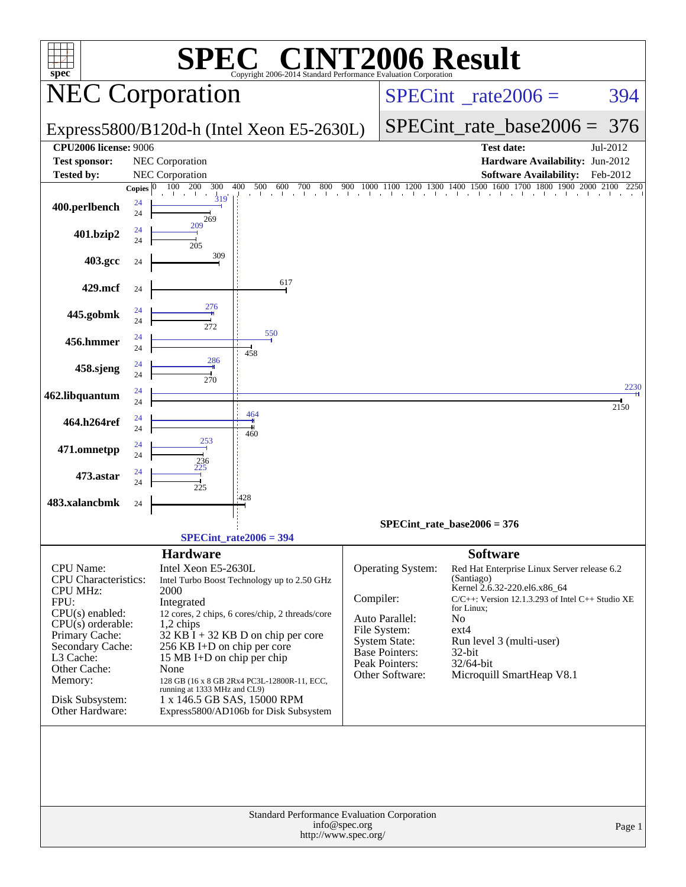| spec <sup>®</sup>                  |                |                                                             | $\blacksquare$<br>Copyright 2006-2014 Standard Performance Evaluation Corporation |                                 | <b>INT2006 Result</b>                |                           |                                                                                                                                                                  |          |
|------------------------------------|----------------|-------------------------------------------------------------|-----------------------------------------------------------------------------------|---------------------------------|--------------------------------------|---------------------------|------------------------------------------------------------------------------------------------------------------------------------------------------------------|----------|
| <b>NEC Corporation</b>             |                |                                                             |                                                                                   | $SPECint^{\circ}$ rate $2006 =$ |                                      |                           | 394                                                                                                                                                              |          |
|                                    |                |                                                             | Express5800/B120d-h (Intel Xeon E5-2630L)                                         |                                 |                                      | $SPECint_rate_base2006 =$ | 376                                                                                                                                                              |          |
| <b>CPU2006 license: 9006</b>       |                |                                                             |                                                                                   |                                 |                                      |                           | <b>Test date:</b>                                                                                                                                                | Jul-2012 |
| <b>Test sponsor:</b>               |                | <b>NEC Corporation</b>                                      |                                                                                   |                                 |                                      |                           | Hardware Availability: Jun-2012                                                                                                                                  |          |
| <b>Tested by:</b>                  |                | NEC Corporation                                             |                                                                                   |                                 |                                      |                           | <b>Software Availability:</b>                                                                                                                                    | Feb-2012 |
|                                    | Copies $ 0 $   | 300<br>100 200<br>$\frac{1}{319}$                           | 400<br>500<br>600<br>700<br>800                                                   | 900                             |                                      |                           | $900 \quad 1000 \quad 11 \overline{00} \quad 1200 \quad 1300 \quad 1400 \quad 1500 \quad 1600 \quad 1700 \quad 1800 \quad 1900 \quad 2000 \quad 2100 \quad 2250$ |          |
| 400.perlbench                      | 24<br>24       | 269                                                         |                                                                                   |                                 |                                      |                           |                                                                                                                                                                  |          |
| 401.bzip2                          | 24<br>24       | 209<br>205                                                  |                                                                                   |                                 |                                      |                           |                                                                                                                                                                  |          |
| 403.gcc                            | 24             | 309                                                         |                                                                                   |                                 |                                      |                           |                                                                                                                                                                  |          |
| 429.mcf                            | 24             |                                                             | 617                                                                               |                                 |                                      |                           |                                                                                                                                                                  |          |
| 445.gobmk                          | 24<br>24       | 276<br>272                                                  | 550                                                                               |                                 |                                      |                           |                                                                                                                                                                  |          |
| 456.hmmer                          | 24<br>24       | 286                                                         | 458                                                                               |                                 |                                      |                           |                                                                                                                                                                  |          |
| 458.sjeng                          | 24<br>24       | 270                                                         |                                                                                   |                                 |                                      |                           |                                                                                                                                                                  | 2230     |
| 462.libquantum                     | 24<br>24       |                                                             | 464                                                                               |                                 |                                      |                           |                                                                                                                                                                  | 2150     |
| 464.h264ref                        | 24<br>24<br>24 | 253                                                         | 460                                                                               |                                 |                                      |                           |                                                                                                                                                                  |          |
| 471.omnetpp                        | 24<br>24       | 236                                                         |                                                                                   |                                 |                                      |                           |                                                                                                                                                                  |          |
| 473.astar<br>483.xalancbmk         | 24             | 225                                                         | :428                                                                              |                                 |                                      |                           |                                                                                                                                                                  |          |
|                                    | 24             |                                                             |                                                                                   |                                 | $SPECint_rate_base2006 = 376$        |                           |                                                                                                                                                                  |          |
|                                    |                |                                                             | $SPECint_rate2006 = 394$                                                          |                                 |                                      |                           |                                                                                                                                                                  |          |
|                                    |                | <b>Hardware</b>                                             |                                                                                   |                                 |                                      | <b>Software</b>           |                                                                                                                                                                  |          |
| CPU Name:                          |                | Intel Xeon E5-2630L                                         |                                                                                   |                                 | <b>Operating System:</b>             |                           | Red Hat Enterprise Linux Server release 6.2                                                                                                                      |          |
| <b>CPU</b> Characteristics:        |                |                                                             | Intel Turbo Boost Technology up to 2.50 GHz                                       |                                 |                                      | (Santiago)                |                                                                                                                                                                  |          |
| <b>CPU MHz:</b>                    |                | 2000                                                        |                                                                                   | Compiler:                       |                                      |                           | Kernel 2.6.32-220.el6.x86_64<br>$C/C++$ : Version 12.1.3.293 of Intel $C++$ Studio XE                                                                            |          |
| FPU:<br>$CPU(s)$ enabled:          |                | Integrated                                                  | 12 cores, 2 chips, 6 cores/chip, 2 threads/core                                   |                                 |                                      | for Linux;                |                                                                                                                                                                  |          |
| $CPU(s)$ orderable:                |                | 1,2 chips                                                   |                                                                                   |                                 | Auto Parallel:                       | N <sub>0</sub>            |                                                                                                                                                                  |          |
| Primary Cache:                     |                |                                                             | $32$ KB I + 32 KB D on chip per core                                              |                                 | File System:<br><b>System State:</b> | ext4                      | Run level 3 (multi-user)                                                                                                                                         |          |
| Secondary Cache:<br>L3 Cache:      |                | 256 KB I+D on chip per core<br>15 MB I+D on chip per chip   |                                                                                   |                                 | <b>Base Pointers:</b>                | $32$ -bit                 |                                                                                                                                                                  |          |
| Other Cache:                       |                | None                                                        |                                                                                   |                                 | Peak Pointers:                       | 32/64-bit                 |                                                                                                                                                                  |          |
| Memory:                            |                |                                                             | 128 GB (16 x 8 GB 2Rx4 PC3L-12800R-11, ECC,                                       |                                 | Other Software:                      |                           | Microquill SmartHeap V8.1                                                                                                                                        |          |
| Disk Subsystem:<br>Other Hardware: |                | running at 1333 MHz and CL9)<br>1 x 146.5 GB SAS, 15000 RPM | Express5800/AD106b for Disk Subsystem                                             |                                 |                                      |                           |                                                                                                                                                                  |          |
|                                    |                |                                                             | Standard Performance Evaluation Corporation                                       |                                 |                                      |                           |                                                                                                                                                                  |          |
|                                    |                |                                                             | http://www.spec.org/                                                              | info@spec.org                   |                                      |                           |                                                                                                                                                                  | Page 1   |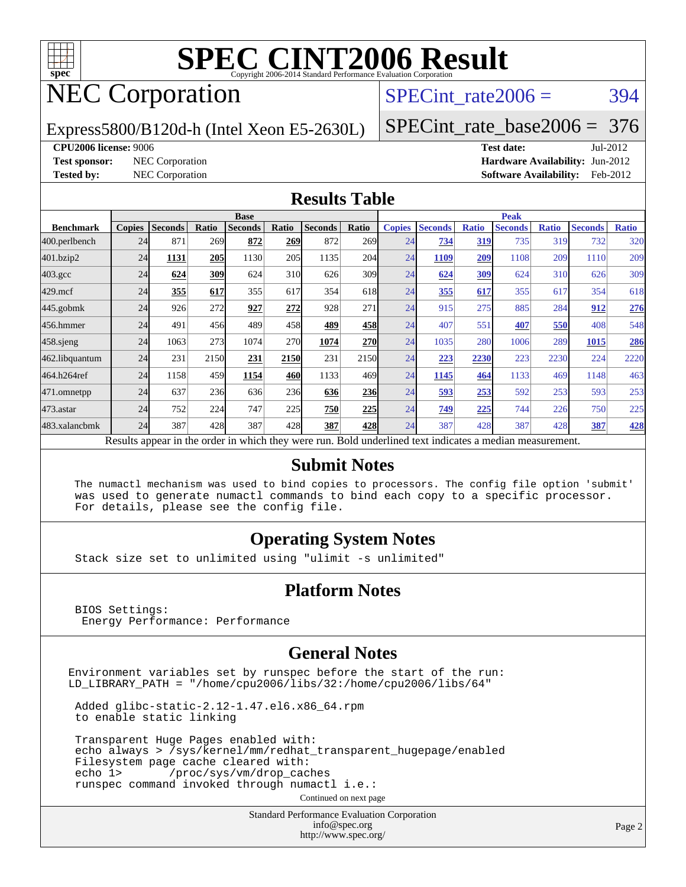

# NEC Corporation

SPECint rate $2006 = 394$ 

Express5800/B120d-h (Intel Xeon E5-2630L)

[SPECint\\_rate\\_base2006 =](http://www.spec.org/auto/cpu2006/Docs/result-fields.html#SPECintratebase2006) 376

**[CPU2006 license:](http://www.spec.org/auto/cpu2006/Docs/result-fields.html#CPU2006license)** 9006 **[Test date:](http://www.spec.org/auto/cpu2006/Docs/result-fields.html#Testdate)** Jul-2012 **[Test sponsor:](http://www.spec.org/auto/cpu2006/Docs/result-fields.html#Testsponsor)** NEC Corporation **[Hardware Availability:](http://www.spec.org/auto/cpu2006/Docs/result-fields.html#HardwareAvailability)** Jun-2012 **[Tested by:](http://www.spec.org/auto/cpu2006/Docs/result-fields.html#Testedby)** NEC Corporation **[Software Availability:](http://www.spec.org/auto/cpu2006/Docs/result-fields.html#SoftwareAvailability)** Feb-2012

#### **[Results Table](http://www.spec.org/auto/cpu2006/Docs/result-fields.html#ResultsTable)**

|                                                                                                          | <b>Base</b>   |                |       |                |       |                |                  | <b>Peak</b>   |                |              |                |              |                |              |
|----------------------------------------------------------------------------------------------------------|---------------|----------------|-------|----------------|-------|----------------|------------------|---------------|----------------|--------------|----------------|--------------|----------------|--------------|
| <b>Benchmark</b>                                                                                         | <b>Copies</b> | <b>Seconds</b> | Ratio | <b>Seconds</b> | Ratio | <b>Seconds</b> | Ratio            | <b>Copies</b> | <b>Seconds</b> | <b>Ratio</b> | <b>Seconds</b> | <b>Ratio</b> | <b>Seconds</b> | <b>Ratio</b> |
| 400.perlbench                                                                                            | 24            | 871            | 269   | 872            | 269   | 872            | 269 <sub>1</sub> | 24            | 734            | 319          | 735            | 319          | 732            | 320          |
| 401.bzip2                                                                                                | 24            | 1131           | 205   | 1130           | 205   | 1135           | 204              | 24            | 1109           | 209          | 1108           | 209          | 1110           | 209          |
| $403.\mathrm{gcc}$                                                                                       | 24            | 624            | 309   | 624            | 310   | 626            | 309 <sub>l</sub> | 24            | 624            | 309          | 624            | 310          | 626            | 309          |
| $429$ .mcf                                                                                               | 24            | 355            | 617   | 355            | 617   | 354            | 618              | 24            | 355            | 617          | 355            | 617          | 354            | 618          |
| $445$ .gobmk                                                                                             | 24            | 926            | 272   | 927            | 272   | 928            | 271              | 24            | 915            | 275          | 885            | 284          | 912            | 276          |
| 456.hmmer                                                                                                | 24            | 491            | 456   | 489            | 458   | 489            | 458              | 24            | 407            | 551          | 407            | 550          | 408            | 548          |
| $458$ .sjeng                                                                                             | 24            | 1063           | 273   | 1074           | 270   | 1074           | <b>270</b>       | 24            | 1035           | 280          | 1006           | 289          | 1015           | 286          |
| 462.libquantum                                                                                           | 24            | 231            | 2150  | 231            | 2150  | 231            | 2150             | 24            | 223            | 2230         | 223            | 2230         | 224            | 2220         |
| 464.h264ref                                                                                              | 24            | 1158           | 459   | 1154           | 460   | 1133           | 469              | 24            | 1145           | 464          | 1133           | 469          | 1148           | 463          |
| 471.omnetpp                                                                                              | 24            | 637            | 236   | 636            | 236   | 636            | <b>236</b>       | 24            | 593            | 253          | 592            | 253          | 593            | 253          |
| 473.astar                                                                                                | 24            | 752            | 224   | 747            | 225   | 750            | 225              | 24            | 749            | 225          | 744            | 226          | 750            | 225          |
| 483.xalancbmk                                                                                            | 24            | 387            | 428   | 387            | 428   | 387            | 428              | 24            | 387            | 428          | 387            | 428          | 387            | 428          |
| Results appear in the order in which they were run. Bold underlined text indicates a median measurement. |               |                |       |                |       |                |                  |               |                |              |                |              |                |              |

#### **[Submit Notes](http://www.spec.org/auto/cpu2006/Docs/result-fields.html#SubmitNotes)**

 The numactl mechanism was used to bind copies to processors. The config file option 'submit' was used to generate numactl commands to bind each copy to a specific processor. For details, please see the config file.

#### **[Operating System Notes](http://www.spec.org/auto/cpu2006/Docs/result-fields.html#OperatingSystemNotes)**

Stack size set to unlimited using "ulimit -s unlimited"

#### **[Platform Notes](http://www.spec.org/auto/cpu2006/Docs/result-fields.html#PlatformNotes)**

 BIOS Settings: Energy Performance: Performance

#### **[General Notes](http://www.spec.org/auto/cpu2006/Docs/result-fields.html#GeneralNotes)**

Environment variables set by runspec before the start of the run: LD\_LIBRARY\_PATH = "/home/cpu2006/libs/32:/home/cpu2006/libs/64"

 Added glibc-static-2.12-1.47.el6.x86\_64.rpm to enable static linking

 Transparent Huge Pages enabled with: echo always > /sys/kernel/mm/redhat\_transparent\_hugepage/enabled Filesystem page cache cleared with: echo 1> /proc/sys/vm/drop\_caches runspec command invoked through numactl i.e.:

Continued on next page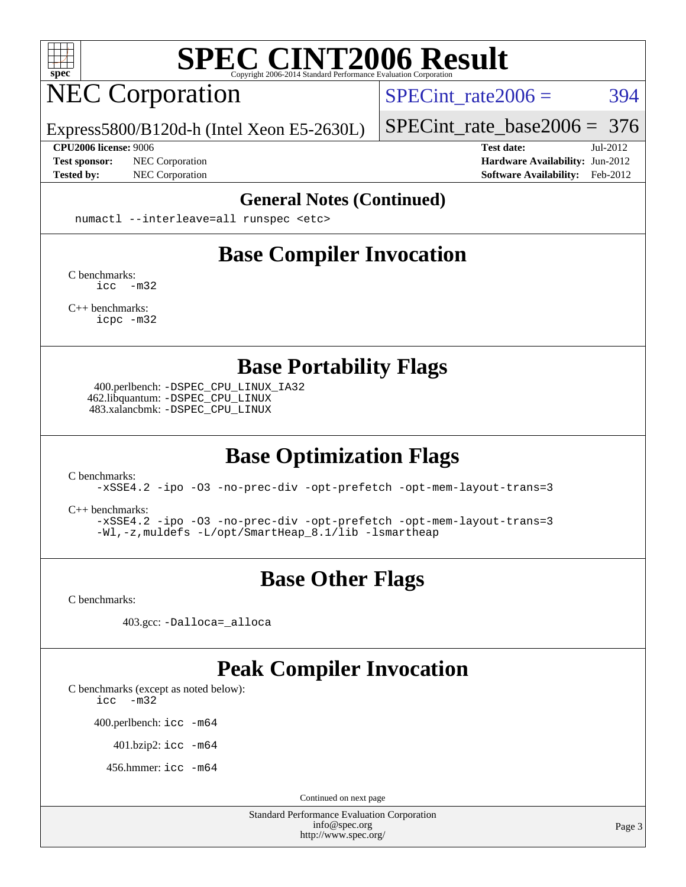

# NEC Corporation

SPECint rate $2006 = 394$ 

[SPECint\\_rate\\_base2006 =](http://www.spec.org/auto/cpu2006/Docs/result-fields.html#SPECintratebase2006) 376

Express5800/B120d-h (Intel Xeon E5-2630L)

**[Tested by:](http://www.spec.org/auto/cpu2006/Docs/result-fields.html#Testedby)** NEC Corporation **[Software Availability:](http://www.spec.org/auto/cpu2006/Docs/result-fields.html#SoftwareAvailability)** Feb-2012

**[CPU2006 license:](http://www.spec.org/auto/cpu2006/Docs/result-fields.html#CPU2006license)** 9006 **[Test date:](http://www.spec.org/auto/cpu2006/Docs/result-fields.html#Testdate)** Jul-2012 **[Test sponsor:](http://www.spec.org/auto/cpu2006/Docs/result-fields.html#Testsponsor)** NEC Corporation **NEC Corporation [Hardware Availability:](http://www.spec.org/auto/cpu2006/Docs/result-fields.html#HardwareAvailability)** Jun-2012

#### **[General Notes \(Continued\)](http://www.spec.org/auto/cpu2006/Docs/result-fields.html#GeneralNotes)**

numactl --interleave=all runspec <etc>

### **[Base Compiler Invocation](http://www.spec.org/auto/cpu2006/Docs/result-fields.html#BaseCompilerInvocation)**

[C benchmarks](http://www.spec.org/auto/cpu2006/Docs/result-fields.html#Cbenchmarks): [icc -m32](http://www.spec.org/cpu2006/results/res2012q3/cpu2006-20120712-23659.flags.html#user_CCbase_intel_icc_5ff4a39e364c98233615fdd38438c6f2)

[C++ benchmarks:](http://www.spec.org/auto/cpu2006/Docs/result-fields.html#CXXbenchmarks) [icpc -m32](http://www.spec.org/cpu2006/results/res2012q3/cpu2006-20120712-23659.flags.html#user_CXXbase_intel_icpc_4e5a5ef1a53fd332b3c49e69c3330699)

**[Base Portability Flags](http://www.spec.org/auto/cpu2006/Docs/result-fields.html#BasePortabilityFlags)**

 400.perlbench: [-DSPEC\\_CPU\\_LINUX\\_IA32](http://www.spec.org/cpu2006/results/res2012q3/cpu2006-20120712-23659.flags.html#b400.perlbench_baseCPORTABILITY_DSPEC_CPU_LINUX_IA32) 462.libquantum: [-DSPEC\\_CPU\\_LINUX](http://www.spec.org/cpu2006/results/res2012q3/cpu2006-20120712-23659.flags.html#b462.libquantum_baseCPORTABILITY_DSPEC_CPU_LINUX) 483.xalancbmk: [-DSPEC\\_CPU\\_LINUX](http://www.spec.org/cpu2006/results/res2012q3/cpu2006-20120712-23659.flags.html#b483.xalancbmk_baseCXXPORTABILITY_DSPEC_CPU_LINUX)

### **[Base Optimization Flags](http://www.spec.org/auto/cpu2006/Docs/result-fields.html#BaseOptimizationFlags)**

[C benchmarks](http://www.spec.org/auto/cpu2006/Docs/result-fields.html#Cbenchmarks):

[-xSSE4.2](http://www.spec.org/cpu2006/results/res2012q3/cpu2006-20120712-23659.flags.html#user_CCbase_f-xSSE42_f91528193cf0b216347adb8b939d4107) [-ipo](http://www.spec.org/cpu2006/results/res2012q3/cpu2006-20120712-23659.flags.html#user_CCbase_f-ipo) [-O3](http://www.spec.org/cpu2006/results/res2012q3/cpu2006-20120712-23659.flags.html#user_CCbase_f-O3) [-no-prec-div](http://www.spec.org/cpu2006/results/res2012q3/cpu2006-20120712-23659.flags.html#user_CCbase_f-no-prec-div) [-opt-prefetch](http://www.spec.org/cpu2006/results/res2012q3/cpu2006-20120712-23659.flags.html#user_CCbase_f-opt-prefetch) [-opt-mem-layout-trans=3](http://www.spec.org/cpu2006/results/res2012q3/cpu2006-20120712-23659.flags.html#user_CCbase_f-opt-mem-layout-trans_a7b82ad4bd7abf52556d4961a2ae94d5)

[C++ benchmarks:](http://www.spec.org/auto/cpu2006/Docs/result-fields.html#CXXbenchmarks)

[-xSSE4.2](http://www.spec.org/cpu2006/results/res2012q3/cpu2006-20120712-23659.flags.html#user_CXXbase_f-xSSE42_f91528193cf0b216347adb8b939d4107) [-ipo](http://www.spec.org/cpu2006/results/res2012q3/cpu2006-20120712-23659.flags.html#user_CXXbase_f-ipo) [-O3](http://www.spec.org/cpu2006/results/res2012q3/cpu2006-20120712-23659.flags.html#user_CXXbase_f-O3) [-no-prec-div](http://www.spec.org/cpu2006/results/res2012q3/cpu2006-20120712-23659.flags.html#user_CXXbase_f-no-prec-div) [-opt-prefetch](http://www.spec.org/cpu2006/results/res2012q3/cpu2006-20120712-23659.flags.html#user_CXXbase_f-opt-prefetch) [-opt-mem-layout-trans=3](http://www.spec.org/cpu2006/results/res2012q3/cpu2006-20120712-23659.flags.html#user_CXXbase_f-opt-mem-layout-trans_a7b82ad4bd7abf52556d4961a2ae94d5) [-Wl,-z,muldefs](http://www.spec.org/cpu2006/results/res2012q3/cpu2006-20120712-23659.flags.html#user_CXXbase_link_force_multiple1_74079c344b956b9658436fd1b6dd3a8a) [-L/opt/SmartHeap\\_8.1/lib -lsmartheap](http://www.spec.org/cpu2006/results/res2012q3/cpu2006-20120712-23659.flags.html#user_CXXbase_SmartHeap_d5ba4dfc9de25d3c657c7de7476e66c5)

#### **[Base Other Flags](http://www.spec.org/auto/cpu2006/Docs/result-fields.html#BaseOtherFlags)**

[C benchmarks](http://www.spec.org/auto/cpu2006/Docs/result-fields.html#Cbenchmarks):

403.gcc: [-Dalloca=\\_alloca](http://www.spec.org/cpu2006/results/res2012q3/cpu2006-20120712-23659.flags.html#b403.gcc_baseEXTRA_CFLAGS_Dalloca_be3056838c12de2578596ca5467af7f3)

#### **[Peak Compiler Invocation](http://www.spec.org/auto/cpu2006/Docs/result-fields.html#PeakCompilerInvocation)**

[C benchmarks \(except as noted below\)](http://www.spec.org/auto/cpu2006/Docs/result-fields.html#Cbenchmarksexceptasnotedbelow):

[icc -m32](http://www.spec.org/cpu2006/results/res2012q3/cpu2006-20120712-23659.flags.html#user_CCpeak_intel_icc_5ff4a39e364c98233615fdd38438c6f2)

400.perlbench: [icc -m64](http://www.spec.org/cpu2006/results/res2012q3/cpu2006-20120712-23659.flags.html#user_peakCCLD400_perlbench_intel_icc_64bit_bda6cc9af1fdbb0edc3795bac97ada53)

401.bzip2: [icc -m64](http://www.spec.org/cpu2006/results/res2012q3/cpu2006-20120712-23659.flags.html#user_peakCCLD401_bzip2_intel_icc_64bit_bda6cc9af1fdbb0edc3795bac97ada53)

456.hmmer: [icc -m64](http://www.spec.org/cpu2006/results/res2012q3/cpu2006-20120712-23659.flags.html#user_peakCCLD456_hmmer_intel_icc_64bit_bda6cc9af1fdbb0edc3795bac97ada53)

Continued on next page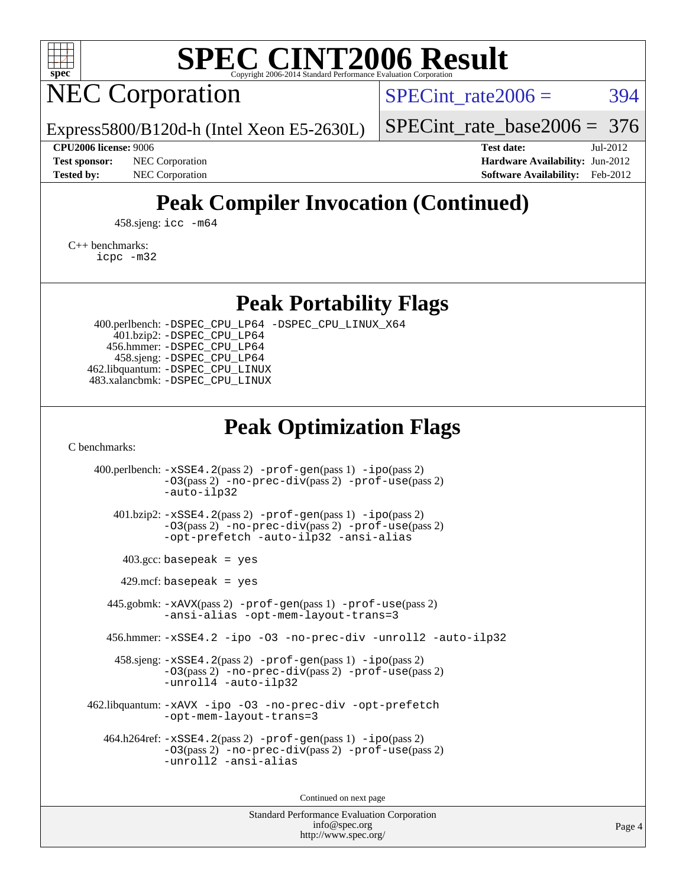

## NEC Corporation

SPECint rate $2006 = 394$ 

Express5800/B120d-h (Intel Xeon E5-2630L)

[SPECint\\_rate\\_base2006 =](http://www.spec.org/auto/cpu2006/Docs/result-fields.html#SPECintratebase2006) 376

**[CPU2006 license:](http://www.spec.org/auto/cpu2006/Docs/result-fields.html#CPU2006license)** 9006 **[Test date:](http://www.spec.org/auto/cpu2006/Docs/result-fields.html#Testdate)** Jul-2012 **[Test sponsor:](http://www.spec.org/auto/cpu2006/Docs/result-fields.html#Testsponsor)** NEC Corporation **NEC Corporation [Hardware Availability:](http://www.spec.org/auto/cpu2006/Docs/result-fields.html#HardwareAvailability)** Jun-2012 **[Tested by:](http://www.spec.org/auto/cpu2006/Docs/result-fields.html#Testedby)** NEC Corporation **[Software Availability:](http://www.spec.org/auto/cpu2006/Docs/result-fields.html#SoftwareAvailability)** Feb-2012

### **[Peak Compiler Invocation \(Continued\)](http://www.spec.org/auto/cpu2006/Docs/result-fields.html#PeakCompilerInvocation)**

458.sjeng: [icc -m64](http://www.spec.org/cpu2006/results/res2012q3/cpu2006-20120712-23659.flags.html#user_peakCCLD458_sjeng_intel_icc_64bit_bda6cc9af1fdbb0edc3795bac97ada53)

[C++ benchmarks:](http://www.spec.org/auto/cpu2006/Docs/result-fields.html#CXXbenchmarks)

[icpc -m32](http://www.spec.org/cpu2006/results/res2012q3/cpu2006-20120712-23659.flags.html#user_CXXpeak_intel_icpc_4e5a5ef1a53fd332b3c49e69c3330699)

**[Peak Portability Flags](http://www.spec.org/auto/cpu2006/Docs/result-fields.html#PeakPortabilityFlags)**

 400.perlbench: [-DSPEC\\_CPU\\_LP64](http://www.spec.org/cpu2006/results/res2012q3/cpu2006-20120712-23659.flags.html#b400.perlbench_peakCPORTABILITY_DSPEC_CPU_LP64) [-DSPEC\\_CPU\\_LINUX\\_X64](http://www.spec.org/cpu2006/results/res2012q3/cpu2006-20120712-23659.flags.html#b400.perlbench_peakCPORTABILITY_DSPEC_CPU_LINUX_X64) 401.bzip2: [-DSPEC\\_CPU\\_LP64](http://www.spec.org/cpu2006/results/res2012q3/cpu2006-20120712-23659.flags.html#suite_peakCPORTABILITY401_bzip2_DSPEC_CPU_LP64) 456.hmmer: [-DSPEC\\_CPU\\_LP64](http://www.spec.org/cpu2006/results/res2012q3/cpu2006-20120712-23659.flags.html#suite_peakCPORTABILITY456_hmmer_DSPEC_CPU_LP64) 458.sjeng: [-DSPEC\\_CPU\\_LP64](http://www.spec.org/cpu2006/results/res2012q3/cpu2006-20120712-23659.flags.html#suite_peakCPORTABILITY458_sjeng_DSPEC_CPU_LP64) 462.libquantum: [-DSPEC\\_CPU\\_LINUX](http://www.spec.org/cpu2006/results/res2012q3/cpu2006-20120712-23659.flags.html#b462.libquantum_peakCPORTABILITY_DSPEC_CPU_LINUX) 483.xalancbmk: [-DSPEC\\_CPU\\_LINUX](http://www.spec.org/cpu2006/results/res2012q3/cpu2006-20120712-23659.flags.html#b483.xalancbmk_peakCXXPORTABILITY_DSPEC_CPU_LINUX)

#### **[Peak Optimization Flags](http://www.spec.org/auto/cpu2006/Docs/result-fields.html#PeakOptimizationFlags)**

[C benchmarks](http://www.spec.org/auto/cpu2006/Docs/result-fields.html#Cbenchmarks):

 400.perlbench: [-xSSE4.2](http://www.spec.org/cpu2006/results/res2012q3/cpu2006-20120712-23659.flags.html#user_peakPASS2_CFLAGSPASS2_LDCFLAGS400_perlbench_f-xSSE42_f91528193cf0b216347adb8b939d4107)(pass 2) [-prof-gen](http://www.spec.org/cpu2006/results/res2012q3/cpu2006-20120712-23659.flags.html#user_peakPASS1_CFLAGSPASS1_LDCFLAGS400_perlbench_prof_gen_e43856698f6ca7b7e442dfd80e94a8fc)(pass 1) [-ipo](http://www.spec.org/cpu2006/results/res2012q3/cpu2006-20120712-23659.flags.html#user_peakPASS2_CFLAGSPASS2_LDCFLAGS400_perlbench_f-ipo)(pass 2) [-O3](http://www.spec.org/cpu2006/results/res2012q3/cpu2006-20120712-23659.flags.html#user_peakPASS2_CFLAGSPASS2_LDCFLAGS400_perlbench_f-O3)(pass 2) [-no-prec-div](http://www.spec.org/cpu2006/results/res2012q3/cpu2006-20120712-23659.flags.html#user_peakPASS2_CFLAGSPASS2_LDCFLAGS400_perlbench_f-no-prec-div)(pass 2) [-prof-use](http://www.spec.org/cpu2006/results/res2012q3/cpu2006-20120712-23659.flags.html#user_peakPASS2_CFLAGSPASS2_LDCFLAGS400_perlbench_prof_use_bccf7792157ff70d64e32fe3e1250b55)(pass 2) [-auto-ilp32](http://www.spec.org/cpu2006/results/res2012q3/cpu2006-20120712-23659.flags.html#user_peakCOPTIMIZE400_perlbench_f-auto-ilp32) 401.bzip2: [-xSSE4.2](http://www.spec.org/cpu2006/results/res2012q3/cpu2006-20120712-23659.flags.html#user_peakPASS2_CFLAGSPASS2_LDCFLAGS401_bzip2_f-xSSE42_f91528193cf0b216347adb8b939d4107)(pass 2) [-prof-gen](http://www.spec.org/cpu2006/results/res2012q3/cpu2006-20120712-23659.flags.html#user_peakPASS1_CFLAGSPASS1_LDCFLAGS401_bzip2_prof_gen_e43856698f6ca7b7e442dfd80e94a8fc)(pass 1) [-ipo](http://www.spec.org/cpu2006/results/res2012q3/cpu2006-20120712-23659.flags.html#user_peakPASS2_CFLAGSPASS2_LDCFLAGS401_bzip2_f-ipo)(pass 2) [-O3](http://www.spec.org/cpu2006/results/res2012q3/cpu2006-20120712-23659.flags.html#user_peakPASS2_CFLAGSPASS2_LDCFLAGS401_bzip2_f-O3)(pass 2) [-no-prec-div](http://www.spec.org/cpu2006/results/res2012q3/cpu2006-20120712-23659.flags.html#user_peakPASS2_CFLAGSPASS2_LDCFLAGS401_bzip2_f-no-prec-div)(pass 2) [-prof-use](http://www.spec.org/cpu2006/results/res2012q3/cpu2006-20120712-23659.flags.html#user_peakPASS2_CFLAGSPASS2_LDCFLAGS401_bzip2_prof_use_bccf7792157ff70d64e32fe3e1250b55)(pass 2) [-opt-prefetch](http://www.spec.org/cpu2006/results/res2012q3/cpu2006-20120712-23659.flags.html#user_peakCOPTIMIZE401_bzip2_f-opt-prefetch) [-auto-ilp32](http://www.spec.org/cpu2006/results/res2012q3/cpu2006-20120712-23659.flags.html#user_peakCOPTIMIZE401_bzip2_f-auto-ilp32) [-ansi-alias](http://www.spec.org/cpu2006/results/res2012q3/cpu2006-20120712-23659.flags.html#user_peakCOPTIMIZE401_bzip2_f-ansi-alias)  $403.\text{gcc: basepeak}$  = yes  $429$ .mcf: basepeak = yes 445.gobmk: [-xAVX](http://www.spec.org/cpu2006/results/res2012q3/cpu2006-20120712-23659.flags.html#user_peakPASS2_CFLAGSPASS2_LDCFLAGS445_gobmk_f-xAVX)(pass 2) [-prof-gen](http://www.spec.org/cpu2006/results/res2012q3/cpu2006-20120712-23659.flags.html#user_peakPASS1_CFLAGSPASS1_LDCFLAGS445_gobmk_prof_gen_e43856698f6ca7b7e442dfd80e94a8fc)(pass 1) [-prof-use](http://www.spec.org/cpu2006/results/res2012q3/cpu2006-20120712-23659.flags.html#user_peakPASS2_CFLAGSPASS2_LDCFLAGS445_gobmk_prof_use_bccf7792157ff70d64e32fe3e1250b55)(pass 2) [-ansi-alias](http://www.spec.org/cpu2006/results/res2012q3/cpu2006-20120712-23659.flags.html#user_peakCOPTIMIZE445_gobmk_f-ansi-alias) [-opt-mem-layout-trans=3](http://www.spec.org/cpu2006/results/res2012q3/cpu2006-20120712-23659.flags.html#user_peakCOPTIMIZE445_gobmk_f-opt-mem-layout-trans_a7b82ad4bd7abf52556d4961a2ae94d5) 456.hmmer: [-xSSE4.2](http://www.spec.org/cpu2006/results/res2012q3/cpu2006-20120712-23659.flags.html#user_peakCOPTIMIZE456_hmmer_f-xSSE42_f91528193cf0b216347adb8b939d4107) [-ipo](http://www.spec.org/cpu2006/results/res2012q3/cpu2006-20120712-23659.flags.html#user_peakCOPTIMIZE456_hmmer_f-ipo) [-O3](http://www.spec.org/cpu2006/results/res2012q3/cpu2006-20120712-23659.flags.html#user_peakCOPTIMIZE456_hmmer_f-O3) [-no-prec-div](http://www.spec.org/cpu2006/results/res2012q3/cpu2006-20120712-23659.flags.html#user_peakCOPTIMIZE456_hmmer_f-no-prec-div) [-unroll2](http://www.spec.org/cpu2006/results/res2012q3/cpu2006-20120712-23659.flags.html#user_peakCOPTIMIZE456_hmmer_f-unroll_784dae83bebfb236979b41d2422d7ec2) [-auto-ilp32](http://www.spec.org/cpu2006/results/res2012q3/cpu2006-20120712-23659.flags.html#user_peakCOPTIMIZE456_hmmer_f-auto-ilp32) 458.sjeng: [-xSSE4.2](http://www.spec.org/cpu2006/results/res2012q3/cpu2006-20120712-23659.flags.html#user_peakPASS2_CFLAGSPASS2_LDCFLAGS458_sjeng_f-xSSE42_f91528193cf0b216347adb8b939d4107)(pass 2) [-prof-gen](http://www.spec.org/cpu2006/results/res2012q3/cpu2006-20120712-23659.flags.html#user_peakPASS1_CFLAGSPASS1_LDCFLAGS458_sjeng_prof_gen_e43856698f6ca7b7e442dfd80e94a8fc)(pass 1) [-ipo](http://www.spec.org/cpu2006/results/res2012q3/cpu2006-20120712-23659.flags.html#user_peakPASS2_CFLAGSPASS2_LDCFLAGS458_sjeng_f-ipo)(pass 2) [-O3](http://www.spec.org/cpu2006/results/res2012q3/cpu2006-20120712-23659.flags.html#user_peakPASS2_CFLAGSPASS2_LDCFLAGS458_sjeng_f-O3)(pass 2) [-no-prec-div](http://www.spec.org/cpu2006/results/res2012q3/cpu2006-20120712-23659.flags.html#user_peakPASS2_CFLAGSPASS2_LDCFLAGS458_sjeng_f-no-prec-div)(pass 2) [-prof-use](http://www.spec.org/cpu2006/results/res2012q3/cpu2006-20120712-23659.flags.html#user_peakPASS2_CFLAGSPASS2_LDCFLAGS458_sjeng_prof_use_bccf7792157ff70d64e32fe3e1250b55)(pass 2) [-unroll4](http://www.spec.org/cpu2006/results/res2012q3/cpu2006-20120712-23659.flags.html#user_peakCOPTIMIZE458_sjeng_f-unroll_4e5e4ed65b7fd20bdcd365bec371b81f) [-auto-ilp32](http://www.spec.org/cpu2006/results/res2012q3/cpu2006-20120712-23659.flags.html#user_peakCOPTIMIZE458_sjeng_f-auto-ilp32) 462.libquantum: [-xAVX](http://www.spec.org/cpu2006/results/res2012q3/cpu2006-20120712-23659.flags.html#user_peakCOPTIMIZE462_libquantum_f-xAVX) [-ipo](http://www.spec.org/cpu2006/results/res2012q3/cpu2006-20120712-23659.flags.html#user_peakCOPTIMIZE462_libquantum_f-ipo) [-O3](http://www.spec.org/cpu2006/results/res2012q3/cpu2006-20120712-23659.flags.html#user_peakCOPTIMIZE462_libquantum_f-O3) [-no-prec-div](http://www.spec.org/cpu2006/results/res2012q3/cpu2006-20120712-23659.flags.html#user_peakCOPTIMIZE462_libquantum_f-no-prec-div) [-opt-prefetch](http://www.spec.org/cpu2006/results/res2012q3/cpu2006-20120712-23659.flags.html#user_peakCOPTIMIZE462_libquantum_f-opt-prefetch) [-opt-mem-layout-trans=3](http://www.spec.org/cpu2006/results/res2012q3/cpu2006-20120712-23659.flags.html#user_peakCOPTIMIZE462_libquantum_f-opt-mem-layout-trans_a7b82ad4bd7abf52556d4961a2ae94d5) 464.h264ref: [-xSSE4.2](http://www.spec.org/cpu2006/results/res2012q3/cpu2006-20120712-23659.flags.html#user_peakPASS2_CFLAGSPASS2_LDCFLAGS464_h264ref_f-xSSE42_f91528193cf0b216347adb8b939d4107)(pass 2) [-prof-gen](http://www.spec.org/cpu2006/results/res2012q3/cpu2006-20120712-23659.flags.html#user_peakPASS1_CFLAGSPASS1_LDCFLAGS464_h264ref_prof_gen_e43856698f6ca7b7e442dfd80e94a8fc)(pass 1) [-ipo](http://www.spec.org/cpu2006/results/res2012q3/cpu2006-20120712-23659.flags.html#user_peakPASS2_CFLAGSPASS2_LDCFLAGS464_h264ref_f-ipo)(pass 2) [-O3](http://www.spec.org/cpu2006/results/res2012q3/cpu2006-20120712-23659.flags.html#user_peakPASS2_CFLAGSPASS2_LDCFLAGS464_h264ref_f-O3)(pass 2) [-no-prec-div](http://www.spec.org/cpu2006/results/res2012q3/cpu2006-20120712-23659.flags.html#user_peakPASS2_CFLAGSPASS2_LDCFLAGS464_h264ref_f-no-prec-div)(pass 2) [-prof-use](http://www.spec.org/cpu2006/results/res2012q3/cpu2006-20120712-23659.flags.html#user_peakPASS2_CFLAGSPASS2_LDCFLAGS464_h264ref_prof_use_bccf7792157ff70d64e32fe3e1250b55)(pass 2) [-unroll2](http://www.spec.org/cpu2006/results/res2012q3/cpu2006-20120712-23659.flags.html#user_peakCOPTIMIZE464_h264ref_f-unroll_784dae83bebfb236979b41d2422d7ec2) [-ansi-alias](http://www.spec.org/cpu2006/results/res2012q3/cpu2006-20120712-23659.flags.html#user_peakCOPTIMIZE464_h264ref_f-ansi-alias)

Continued on next page